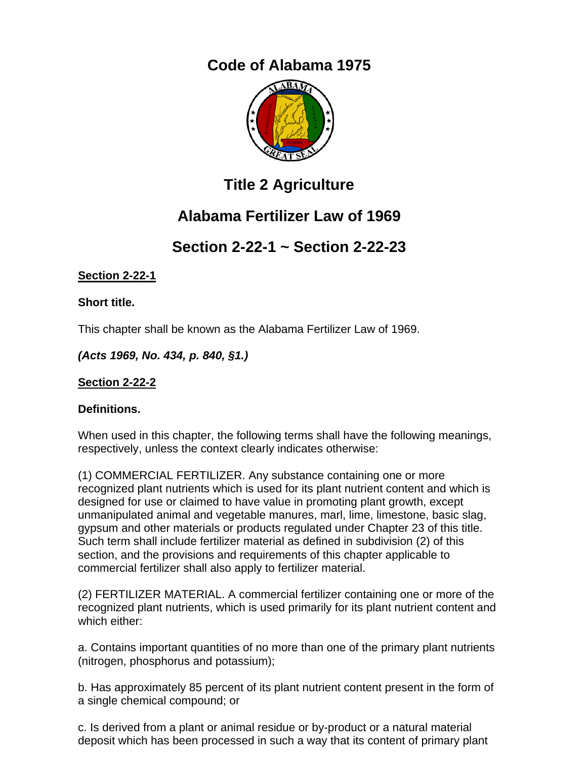# **Code of Alabama 1975**



# **Title 2 Agriculture**

# **Alabama Fertilizer Law of 1969**

# **Section 2-22-1 ~ Section 2-22-23**

# **Section 2-22-1**

**Short title.** 

This chapter shall be known as the Alabama Fertilizer Law of 1969.

*(Acts 1969, No. 434, p. 840, §1.)*

**Section 2-22-2** 

# **Definitions.**

When used in this chapter, the following terms shall have the following meanings, respectively, unless the context clearly indicates otherwise:

(1) COMMERCIAL FERTILIZER. Any substance containing one or more recognized plant nutrients which is used for its plant nutrient content and which is designed for use or claimed to have value in promoting plant growth, except unmanipulated animal and vegetable manures, marl, lime, limestone, basic slag, gypsum and other materials or products regulated under Chapter 23 of this title. Such term shall include fertilizer material as defined in subdivision (2) of this section, and the provisions and requirements of this chapter applicable to commercial fertilizer shall also apply to fertilizer material.

(2) FERTILIZER MATERIAL. A commercial fertilizer containing one or more of the recognized plant nutrients, which is used primarily for its plant nutrient content and which either:

a. Contains important quantities of no more than one of the primary plant nutrients (nitrogen, phosphorus and potassium);

b. Has approximately 85 percent of its plant nutrient content present in the form of a single chemical compound; or

c. Is derived from a plant or animal residue or by-product or a natural material deposit which has been processed in such a way that its content of primary plant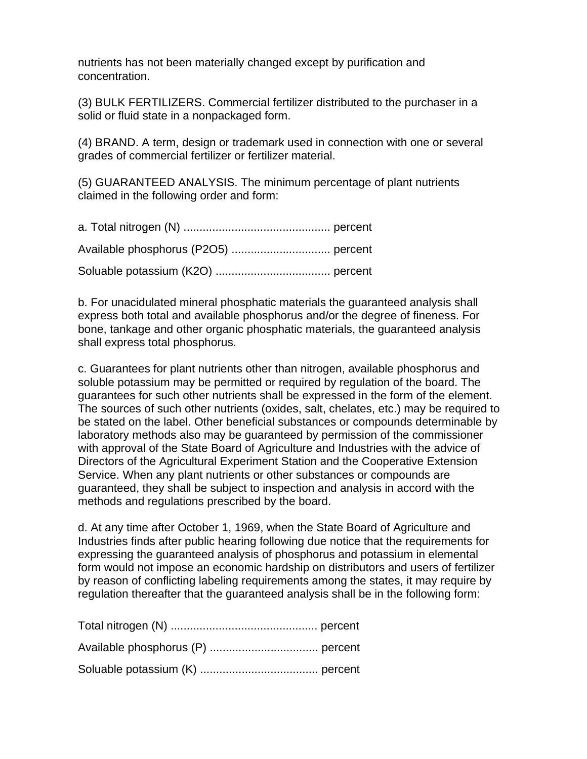nutrients has not been materially changed except by purification and concentration.

(3) BULK FERTILIZERS. Commercial fertilizer distributed to the purchaser in a solid or fluid state in a nonpackaged form.

(4) BRAND. A term, design or trademark used in connection with one or several grades of commercial fertilizer or fertilizer material.

(5) GUARANTEED ANALYSIS. The minimum percentage of plant nutrients claimed in the following order and form:

b. For unacidulated mineral phosphatic materials the guaranteed analysis shall express both total and available phosphorus and/or the degree of fineness. For bone, tankage and other organic phosphatic materials, the guaranteed analysis shall express total phosphorus.

c. Guarantees for plant nutrients other than nitrogen, available phosphorus and soluble potassium may be permitted or required by regulation of the board. The guarantees for such other nutrients shall be expressed in the form of the element. The sources of such other nutrients (oxides, salt, chelates, etc.) may be required to be stated on the label. Other beneficial substances or compounds determinable by laboratory methods also may be guaranteed by permission of the commissioner with approval of the State Board of Agriculture and Industries with the advice of Directors of the Agricultural Experiment Station and the Cooperative Extension Service. When any plant nutrients or other substances or compounds are guaranteed, they shall be subject to inspection and analysis in accord with the methods and regulations prescribed by the board.

d. At any time after October 1, 1969, when the State Board of Agriculture and Industries finds after public hearing following due notice that the requirements for expressing the guaranteed analysis of phosphorus and potassium in elemental form would not impose an economic hardship on distributors and users of fertilizer by reason of conflicting labeling requirements among the states, it may require by regulation thereafter that the guaranteed analysis shall be in the following form: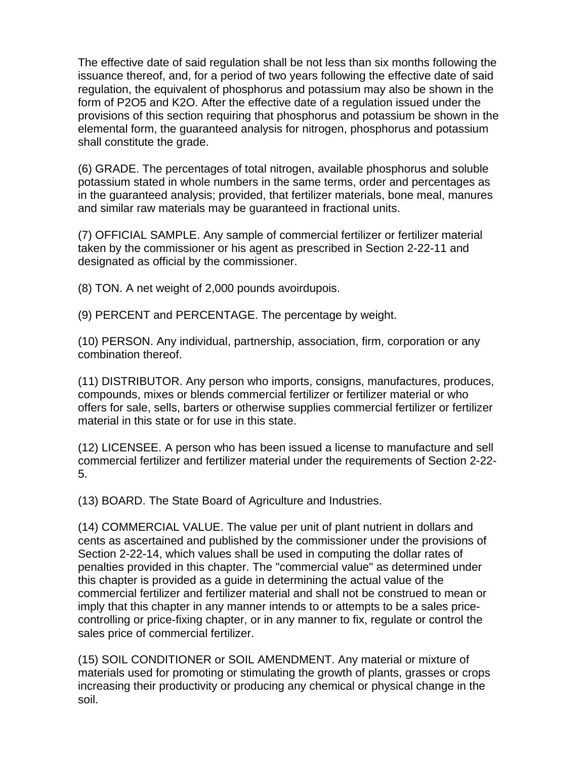The effective date of said regulation shall be not less than six months following the issuance thereof, and, for a period of two years following the effective date of said regulation, the equivalent of phosphorus and potassium may also be shown in the form of P2O5 and K2O. After the effective date of a regulation issued under the provisions of this section requiring that phosphorus and potassium be shown in the elemental form, the guaranteed analysis for nitrogen, phosphorus and potassium shall constitute the grade.

(6) GRADE. The percentages of total nitrogen, available phosphorus and soluble potassium stated in whole numbers in the same terms, order and percentages as in the guaranteed analysis; provided, that fertilizer materials, bone meal, manures and similar raw materials may be guaranteed in fractional units.

(7) OFFICIAL SAMPLE. Any sample of commercial fertilizer or fertilizer material taken by the commissioner or his agent as prescribed in Section 2-22-11 and designated as official by the commissioner.

(8) TON. A net weight of 2,000 pounds avoirdupois.

(9) PERCENT and PERCENTAGE. The percentage by weight.

(10) PERSON. Any individual, partnership, association, firm, corporation or any combination thereof.

(11) DISTRIBUTOR. Any person who imports, consigns, manufactures, produces, compounds, mixes or blends commercial fertilizer or fertilizer material or who offers for sale, sells, barters or otherwise supplies commercial fertilizer or fertilizer material in this state or for use in this state.

(12) LICENSEE. A person who has been issued a license to manufacture and sell commercial fertilizer and fertilizer material under the requirements of Section 2-22- 5.

(13) BOARD. The State Board of Agriculture and Industries.

(14) COMMERCIAL VALUE. The value per unit of plant nutrient in dollars and cents as ascertained and published by the commissioner under the provisions of Section 2-22-14, which values shall be used in computing the dollar rates of penalties provided in this chapter. The "commercial value" as determined under this chapter is provided as a guide in determining the actual value of the commercial fertilizer and fertilizer material and shall not be construed to mean or imply that this chapter in any manner intends to or attempts to be a sales pricecontrolling or price-fixing chapter, or in any manner to fix, regulate or control the sales price of commercial fertilizer.

(15) SOIL CONDITIONER or SOIL AMENDMENT. Any material or mixture of materials used for promoting or stimulating the growth of plants, grasses or crops increasing their productivity or producing any chemical or physical change in the soil.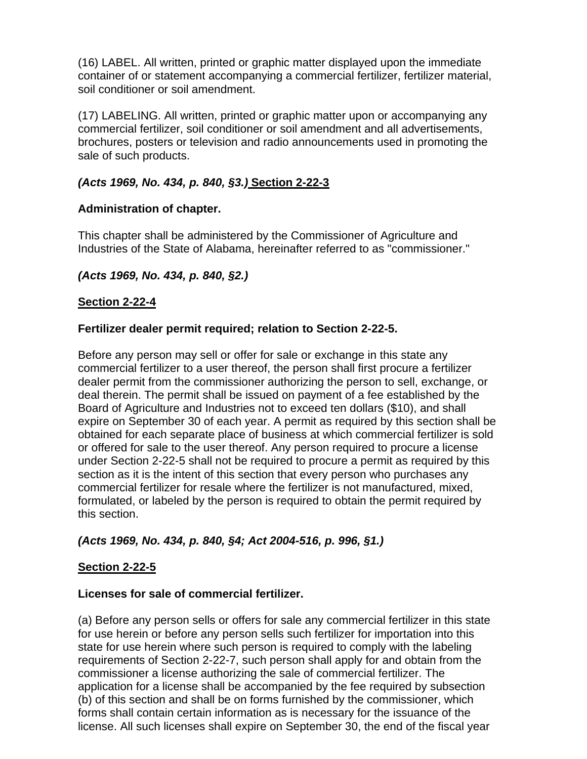(16) LABEL. All written, printed or graphic matter displayed upon the immediate container of or statement accompanying a commercial fertilizer, fertilizer material, soil conditioner or soil amendment.

(17) LABELING. All written, printed or graphic matter upon or accompanying any commercial fertilizer, soil conditioner or soil amendment and all advertisements, brochures, posters or television and radio announcements used in promoting the sale of such products.

# *(Acts 1969, No. 434, p. 840, §3.)* **Section 2-22-3**

# **Administration of chapter.**

This chapter shall be administered by the Commissioner of Agriculture and Industries of the State of Alabama, hereinafter referred to as "commissioner."

# *(Acts 1969, No. 434, p. 840, §2.)*

# **Section 2-22-4**

# **Fertilizer dealer permit required; relation to Section 2-22-5.**

Before any person may sell or offer for sale or exchange in this state any commercial fertilizer to a user thereof, the person shall first procure a fertilizer dealer permit from the commissioner authorizing the person to sell, exchange, or deal therein. The permit shall be issued on payment of a fee established by the Board of Agriculture and Industries not to exceed ten dollars (\$10), and shall expire on September 30 of each year. A permit as required by this section shall be obtained for each separate place of business at which commercial fertilizer is sold or offered for sale to the user thereof. Any person required to procure a license under Section 2-22-5 shall not be required to procure a permit as required by this section as it is the intent of this section that every person who purchases any commercial fertilizer for resale where the fertilizer is not manufactured, mixed, formulated, or labeled by the person is required to obtain the permit required by this section.

# *(Acts 1969, No. 434, p. 840, §4; Act 2004-516, p. 996, §1.)*

# **Section 2-22-5**

# **Licenses for sale of commercial fertilizer.**

(a) Before any person sells or offers for sale any commercial fertilizer in this state for use herein or before any person sells such fertilizer for importation into this state for use herein where such person is required to comply with the labeling requirements of Section 2-22-7, such person shall apply for and obtain from the commissioner a license authorizing the sale of commercial fertilizer. The application for a license shall be accompanied by the fee required by subsection (b) of this section and shall be on forms furnished by the commissioner, which forms shall contain certain information as is necessary for the issuance of the license. All such licenses shall expire on September 30, the end of the fiscal year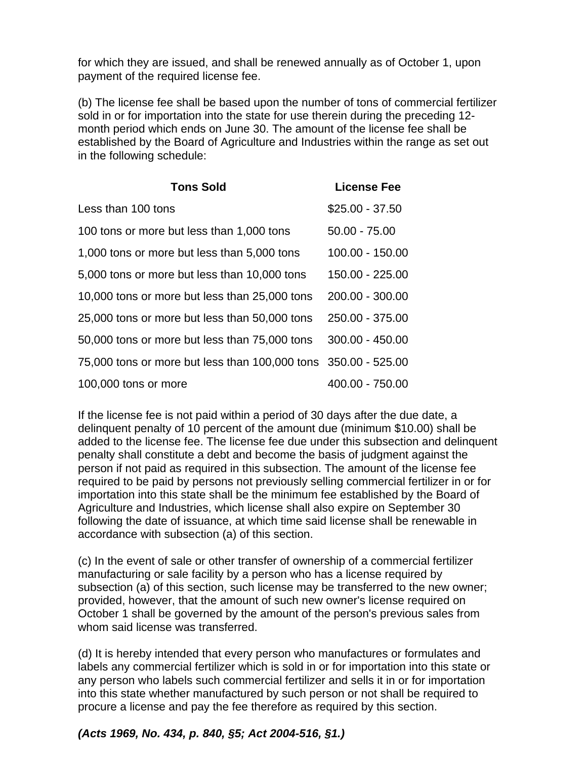for which they are issued, and shall be renewed annually as of October 1, upon payment of the required license fee.

(b) The license fee shall be based upon the number of tons of commercial fertilizer sold in or for importation into the state for use therein during the preceding 12 month period which ends on June 30. The amount of the license fee shall be established by the Board of Agriculture and Industries within the range as set out in the following schedule:

| <b>Tons Sold</b>                                               | <b>License Fee</b> |
|----------------------------------------------------------------|--------------------|
| Less than 100 tons                                             | $$25.00 - 37.50$   |
| 100 tons or more but less than 1,000 tons                      | $50.00 - 75.00$    |
| 1,000 tons or more but less than 5,000 tons                    | 100.00 - 150.00    |
| 5,000 tons or more but less than 10,000 tons                   | 150.00 - 225.00    |
| 10,000 tons or more but less than 25,000 tons                  | 200.00 - 300.00    |
| 25,000 tons or more but less than 50,000 tons                  | 250.00 - 375.00    |
| 50,000 tons or more but less than 75,000 tons                  | $300.00 - 450.00$  |
| 75,000 tons or more but less than 100,000 tons 350.00 - 525.00 |                    |
| 100,000 tons or more                                           | 400.00 - 750.00    |

If the license fee is not paid within a period of 30 days after the due date, a delinquent penalty of 10 percent of the amount due (minimum \$10.00) shall be added to the license fee. The license fee due under this subsection and delinquent penalty shall constitute a debt and become the basis of judgment against the person if not paid as required in this subsection. The amount of the license fee required to be paid by persons not previously selling commercial fertilizer in or for importation into this state shall be the minimum fee established by the Board of Agriculture and Industries, which license shall also expire on September 30 following the date of issuance, at which time said license shall be renewable in accordance with subsection (a) of this section.

(c) In the event of sale or other transfer of ownership of a commercial fertilizer manufacturing or sale facility by a person who has a license required by subsection (a) of this section, such license may be transferred to the new owner; provided, however, that the amount of such new owner's license required on October 1 shall be governed by the amount of the person's previous sales from whom said license was transferred.

(d) It is hereby intended that every person who manufactures or formulates and labels any commercial fertilizer which is sold in or for importation into this state or any person who labels such commercial fertilizer and sells it in or for importation into this state whether manufactured by such person or not shall be required to procure a license and pay the fee therefore as required by this section.

# *(Acts 1969, No. 434, p. 840, §5; Act 2004-516, §1.)*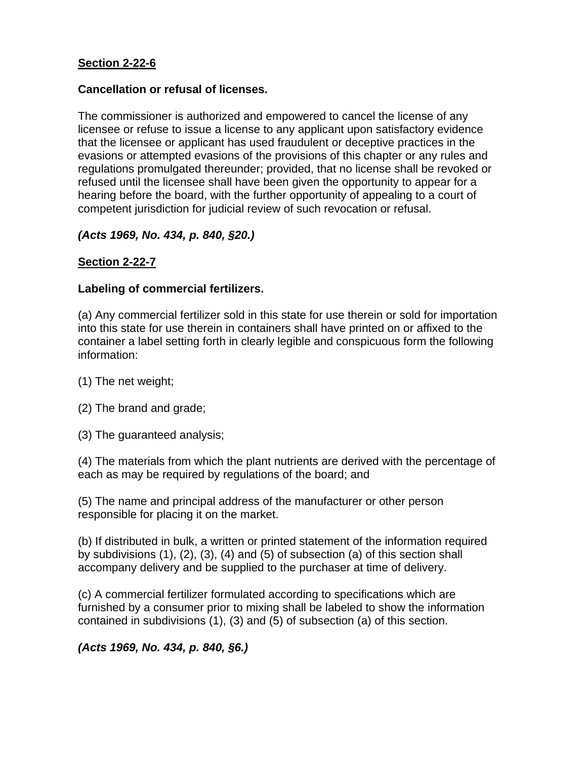# **Cancellation or refusal of licenses.**

The commissioner is authorized and empowered to cancel the license of any licensee or refuse to issue a license to any applicant upon satisfactory evidence that the licensee or applicant has used fraudulent or deceptive practices in the evasions or attempted evasions of the provisions of this chapter or any rules and regulations promulgated thereunder; provided, that no license shall be revoked or refused until the licensee shall have been given the opportunity to appear for a hearing before the board, with the further opportunity of appealing to a court of competent jurisdiction for judicial review of such revocation or refusal.

# *(Acts 1969, No. 434, p. 840, §20.)*

# **Section 2-22-7**

# **Labeling of commercial fertilizers.**

(a) Any commercial fertilizer sold in this state for use therein or sold for importation into this state for use therein in containers shall have printed on or affixed to the container a label setting forth in clearly legible and conspicuous form the following information:

- (1) The net weight;
- (2) The brand and grade;
- (3) The guaranteed analysis;

(4) The materials from which the plant nutrients are derived with the percentage of each as may be required by regulations of the board; and

(5) The name and principal address of the manufacturer or other person responsible for placing it on the market.

(b) If distributed in bulk, a written or printed statement of the information required by subdivisions (1), (2), (3), (4) and (5) of subsection (a) of this section shall accompany delivery and be supplied to the purchaser at time of delivery.

(c) A commercial fertilizer formulated according to specifications which are furnished by a consumer prior to mixing shall be labeled to show the information contained in subdivisions (1), (3) and (5) of subsection (a) of this section.

*(Acts 1969, No. 434, p. 840, §6.)*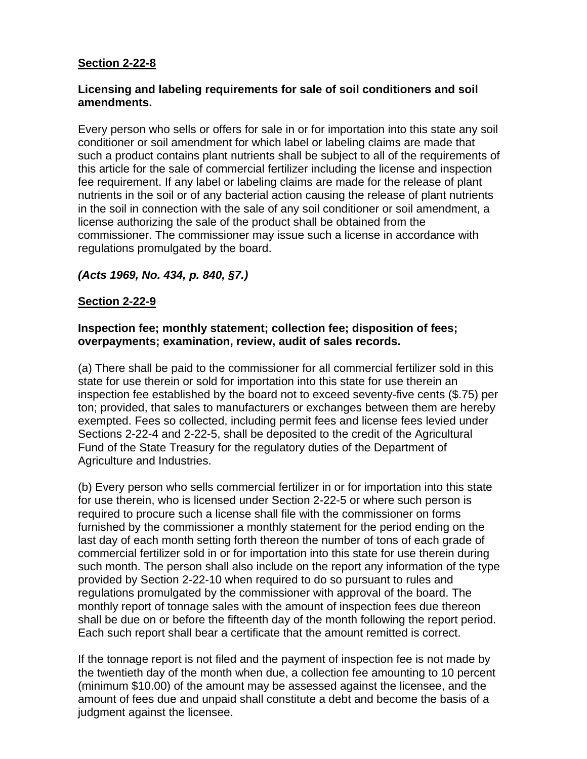# **Licensing and labeling requirements for sale of soil conditioners and soil amendments.**

Every person who sells or offers for sale in or for importation into this state any soil conditioner or soil amendment for which label or labeling claims are made that such a product contains plant nutrients shall be subject to all of the requirements of this article for the sale of commercial fertilizer including the license and inspection fee requirement. If any label or labeling claims are made for the release of plant nutrients in the soil or of any bacterial action causing the release of plant nutrients in the soil in connection with the sale of any soil conditioner or soil amendment, a license authorizing the sale of the product shall be obtained from the commissioner. The commissioner may issue such a license in accordance with regulations promulgated by the board.

# *(Acts 1969, No. 434, p. 840, §7.)*

# **Section 2-22-9**

# **Inspection fee; monthly statement; collection fee; disposition of fees; overpayments; examination, review, audit of sales records.**

(a) There shall be paid to the commissioner for all commercial fertilizer sold in this state for use therein or sold for importation into this state for use therein an inspection fee established by the board not to exceed seventy-five cents (\$.75) per ton; provided, that sales to manufacturers or exchanges between them are hereby exempted. Fees so collected, including permit fees and license fees levied under Sections 2-22-4 and 2-22-5, shall be deposited to the credit of the Agricultural Fund of the State Treasury for the regulatory duties of the Department of Agriculture and Industries.

(b) Every person who sells commercial fertilizer in or for importation into this state for use therein, who is licensed under Section 2-22-5 or where such person is required to procure such a license shall file with the commissioner on forms furnished by the commissioner a monthly statement for the period ending on the last day of each month setting forth thereon the number of tons of each grade of commercial fertilizer sold in or for importation into this state for use therein during such month. The person shall also include on the report any information of the type provided by Section 2-22-10 when required to do so pursuant to rules and regulations promulgated by the commissioner with approval of the board. The monthly report of tonnage sales with the amount of inspection fees due thereon shall be due on or before the fifteenth day of the month following the report period. Each such report shall bear a certificate that the amount remitted is correct.

If the tonnage report is not filed and the payment of inspection fee is not made by the twentieth day of the month when due, a collection fee amounting to 10 percent (minimum \$10.00) of the amount may be assessed against the licensee, and the amount of fees due and unpaid shall constitute a debt and become the basis of a judgment against the licensee.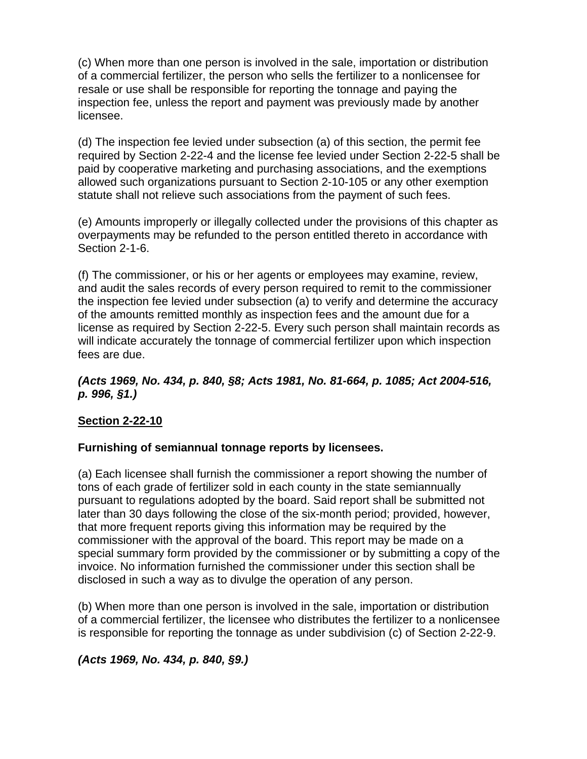(c) When more than one person is involved in the sale, importation or distribution of a commercial fertilizer, the person who sells the fertilizer to a nonlicensee for resale or use shall be responsible for reporting the tonnage and paying the inspection fee, unless the report and payment was previously made by another licensee.

(d) The inspection fee levied under subsection (a) of this section, the permit fee required by Section 2-22-4 and the license fee levied under Section 2-22-5 shall be paid by cooperative marketing and purchasing associations, and the exemptions allowed such organizations pursuant to Section 2-10-105 or any other exemption statute shall not relieve such associations from the payment of such fees.

(e) Amounts improperly or illegally collected under the provisions of this chapter as overpayments may be refunded to the person entitled thereto in accordance with Section 2-1-6.

(f) The commissioner, or his or her agents or employees may examine, review, and audit the sales records of every person required to remit to the commissioner the inspection fee levied under subsection (a) to verify and determine the accuracy of the amounts remitted monthly as inspection fees and the amount due for a license as required by Section 2-22-5. Every such person shall maintain records as will indicate accurately the tonnage of commercial fertilizer upon which inspection fees are due.

# *(Acts 1969, No. 434, p. 840, §8; Acts 1981, No. 81-664, p. 1085; Act 2004-516, p. 996, §1.)*

# **Section 2-22-10**

# **Furnishing of semiannual tonnage reports by licensees.**

(a) Each licensee shall furnish the commissioner a report showing the number of tons of each grade of fertilizer sold in each county in the state semiannually pursuant to regulations adopted by the board. Said report shall be submitted not later than 30 days following the close of the six-month period; provided, however, that more frequent reports giving this information may be required by the commissioner with the approval of the board. This report may be made on a special summary form provided by the commissioner or by submitting a copy of the invoice. No information furnished the commissioner under this section shall be disclosed in such a way as to divulge the operation of any person.

(b) When more than one person is involved in the sale, importation or distribution of a commercial fertilizer, the licensee who distributes the fertilizer to a nonlicensee is responsible for reporting the tonnage as under subdivision (c) of Section 2-22-9.

# *(Acts 1969, No. 434, p. 840, §9.)*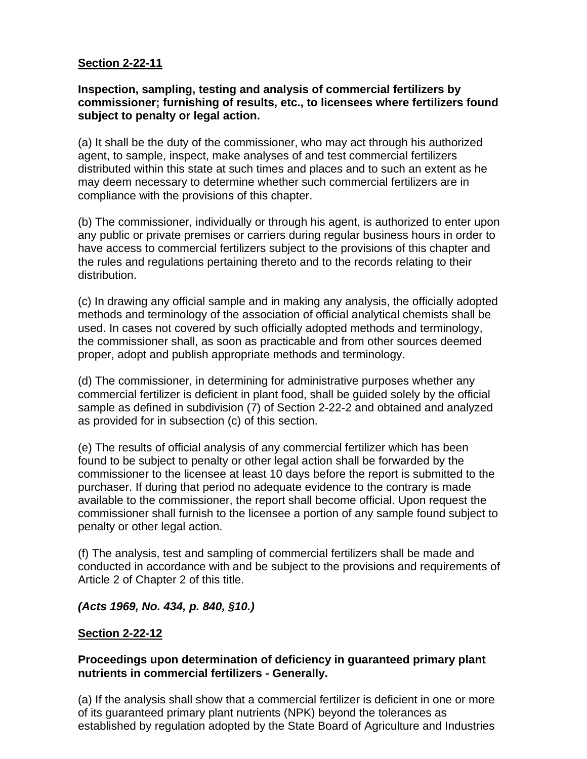# **Inspection, sampling, testing and analysis of commercial fertilizers by commissioner; furnishing of results, etc., to licensees where fertilizers found subject to penalty or legal action.**

(a) It shall be the duty of the commissioner, who may act through his authorized agent, to sample, inspect, make analyses of and test commercial fertilizers distributed within this state at such times and places and to such an extent as he may deem necessary to determine whether such commercial fertilizers are in compliance with the provisions of this chapter.

(b) The commissioner, individually or through his agent, is authorized to enter upon any public or private premises or carriers during regular business hours in order to have access to commercial fertilizers subject to the provisions of this chapter and the rules and regulations pertaining thereto and to the records relating to their distribution.

(c) In drawing any official sample and in making any analysis, the officially adopted methods and terminology of the association of official analytical chemists shall be used. In cases not covered by such officially adopted methods and terminology, the commissioner shall, as soon as practicable and from other sources deemed proper, adopt and publish appropriate methods and terminology.

(d) The commissioner, in determining for administrative purposes whether any commercial fertilizer is deficient in plant food, shall be guided solely by the official sample as defined in subdivision (7) of Section 2-22-2 and obtained and analyzed as provided for in subsection (c) of this section.

(e) The results of official analysis of any commercial fertilizer which has been found to be subject to penalty or other legal action shall be forwarded by the commissioner to the licensee at least 10 days before the report is submitted to the purchaser. If during that period no adequate evidence to the contrary is made available to the commissioner, the report shall become official. Upon request the commissioner shall furnish to the licensee a portion of any sample found subject to penalty or other legal action.

(f) The analysis, test and sampling of commercial fertilizers shall be made and conducted in accordance with and be subject to the provisions and requirements of Article 2 of Chapter 2 of this title.

# *(Acts 1969, No. 434, p. 840, §10.)*

# **Section 2-22-12**

# **Proceedings upon determination of deficiency in guaranteed primary plant nutrients in commercial fertilizers - Generally.**

(a) If the analysis shall show that a commercial fertilizer is deficient in one or more of its guaranteed primary plant nutrients (NPK) beyond the tolerances as established by regulation adopted by the State Board of Agriculture and Industries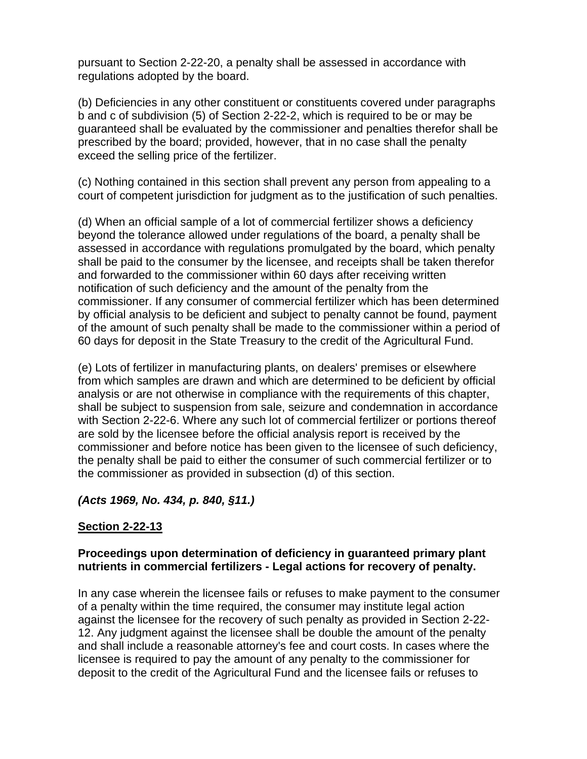pursuant to Section 2-22-20, a penalty shall be assessed in accordance with regulations adopted by the board.

(b) Deficiencies in any other constituent or constituents covered under paragraphs b and c of subdivision (5) of Section 2-22-2, which is required to be or may be guaranteed shall be evaluated by the commissioner and penalties therefor shall be prescribed by the board; provided, however, that in no case shall the penalty exceed the selling price of the fertilizer.

(c) Nothing contained in this section shall prevent any person from appealing to a court of competent jurisdiction for judgment as to the justification of such penalties.

(d) When an official sample of a lot of commercial fertilizer shows a deficiency beyond the tolerance allowed under regulations of the board, a penalty shall be assessed in accordance with regulations promulgated by the board, which penalty shall be paid to the consumer by the licensee, and receipts shall be taken therefor and forwarded to the commissioner within 60 days after receiving written notification of such deficiency and the amount of the penalty from the commissioner. If any consumer of commercial fertilizer which has been determined by official analysis to be deficient and subject to penalty cannot be found, payment of the amount of such penalty shall be made to the commissioner within a period of 60 days for deposit in the State Treasury to the credit of the Agricultural Fund.

(e) Lots of fertilizer in manufacturing plants, on dealers' premises or elsewhere from which samples are drawn and which are determined to be deficient by official analysis or are not otherwise in compliance with the requirements of this chapter, shall be subject to suspension from sale, seizure and condemnation in accordance with Section 2-22-6. Where any such lot of commercial fertilizer or portions thereof are sold by the licensee before the official analysis report is received by the commissioner and before notice has been given to the licensee of such deficiency, the penalty shall be paid to either the consumer of such commercial fertilizer or to the commissioner as provided in subsection (d) of this section.

# *(Acts 1969, No. 434, p. 840, §11.)*

# **Section 2-22-13**

# **Proceedings upon determination of deficiency in guaranteed primary plant nutrients in commercial fertilizers - Legal actions for recovery of penalty.**

In any case wherein the licensee fails or refuses to make payment to the consumer of a penalty within the time required, the consumer may institute legal action against the licensee for the recovery of such penalty as provided in Section 2-22- 12. Any judgment against the licensee shall be double the amount of the penalty and shall include a reasonable attorney's fee and court costs. In cases where the licensee is required to pay the amount of any penalty to the commissioner for deposit to the credit of the Agricultural Fund and the licensee fails or refuses to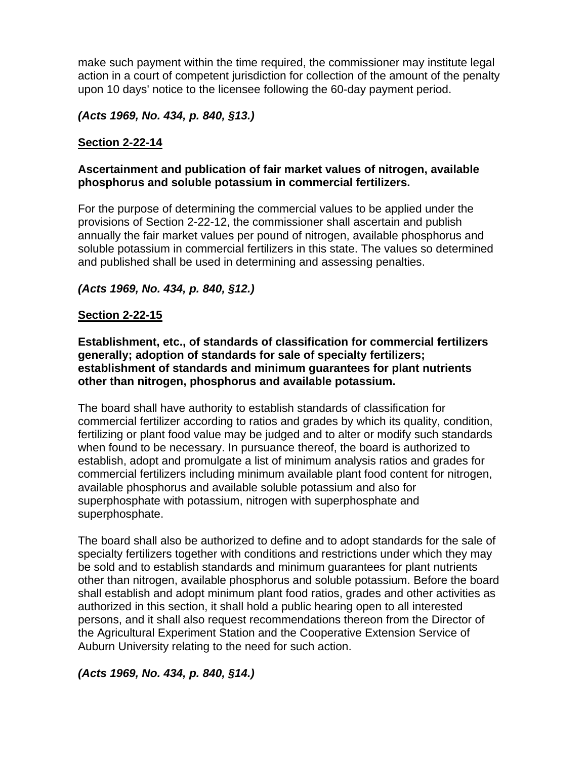make such payment within the time required, the commissioner may institute legal action in a court of competent jurisdiction for collection of the amount of the penalty upon 10 days' notice to the licensee following the 60-day payment period.

# *(Acts 1969, No. 434, p. 840, §13.)*

# **Section 2-22-14**

# **Ascertainment and publication of fair market values of nitrogen, available phosphorus and soluble potassium in commercial fertilizers.**

For the purpose of determining the commercial values to be applied under the provisions of Section 2-22-12, the commissioner shall ascertain and publish annually the fair market values per pound of nitrogen, available phosphorus and soluble potassium in commercial fertilizers in this state. The values so determined and published shall be used in determining and assessing penalties.

# *(Acts 1969, No. 434, p. 840, §12.)*

# **Section 2-22-15**

**Establishment, etc., of standards of classification for commercial fertilizers generally; adoption of standards for sale of specialty fertilizers; establishment of standards and minimum guarantees for plant nutrients other than nitrogen, phosphorus and available potassium.** 

The board shall have authority to establish standards of classification for commercial fertilizer according to ratios and grades by which its quality, condition, fertilizing or plant food value may be judged and to alter or modify such standards when found to be necessary. In pursuance thereof, the board is authorized to establish, adopt and promulgate a list of minimum analysis ratios and grades for commercial fertilizers including minimum available plant food content for nitrogen, available phosphorus and available soluble potassium and also for superphosphate with potassium, nitrogen with superphosphate and superphosphate.

The board shall also be authorized to define and to adopt standards for the sale of specialty fertilizers together with conditions and restrictions under which they may be sold and to establish standards and minimum guarantees for plant nutrients other than nitrogen, available phosphorus and soluble potassium. Before the board shall establish and adopt minimum plant food ratios, grades and other activities as authorized in this section, it shall hold a public hearing open to all interested persons, and it shall also request recommendations thereon from the Director of the Agricultural Experiment Station and the Cooperative Extension Service of Auburn University relating to the need for such action.

# *(Acts 1969, No. 434, p. 840, §14.)*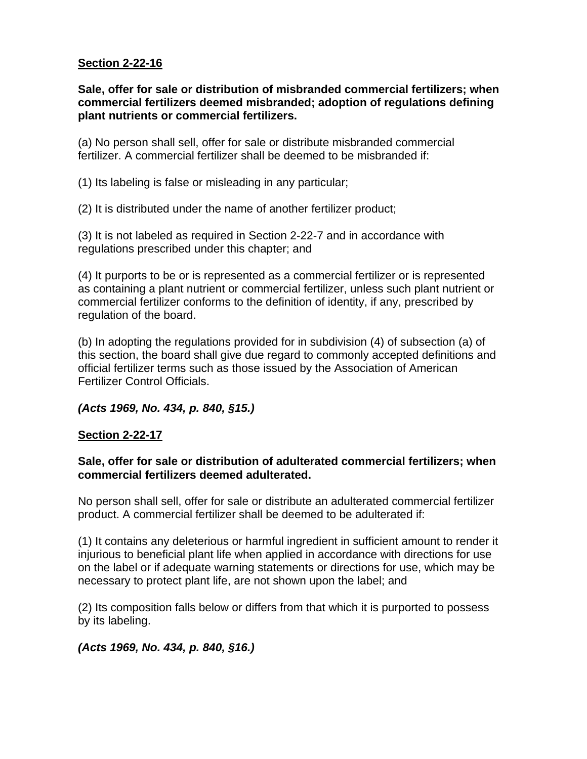**Sale, offer for sale or distribution of misbranded commercial fertilizers; when commercial fertilizers deemed misbranded; adoption of regulations defining plant nutrients or commercial fertilizers.** 

(a) No person shall sell, offer for sale or distribute misbranded commercial fertilizer. A commercial fertilizer shall be deemed to be misbranded if:

(1) Its labeling is false or misleading in any particular;

(2) It is distributed under the name of another fertilizer product;

(3) It is not labeled as required in Section 2-22-7 and in accordance with regulations prescribed under this chapter; and

(4) It purports to be or is represented as a commercial fertilizer or is represented as containing a plant nutrient or commercial fertilizer, unless such plant nutrient or commercial fertilizer conforms to the definition of identity, if any, prescribed by regulation of the board.

(b) In adopting the regulations provided for in subdivision (4) of subsection (a) of this section, the board shall give due regard to commonly accepted definitions and official fertilizer terms such as those issued by the Association of American Fertilizer Control Officials.

## *(Acts 1969, No. 434, p. 840, §15.)*

## **Section 2-22-17**

# **Sale, offer for sale or distribution of adulterated commercial fertilizers; when commercial fertilizers deemed adulterated.**

No person shall sell, offer for sale or distribute an adulterated commercial fertilizer product. A commercial fertilizer shall be deemed to be adulterated if:

(1) It contains any deleterious or harmful ingredient in sufficient amount to render it injurious to beneficial plant life when applied in accordance with directions for use on the label or if adequate warning statements or directions for use, which may be necessary to protect plant life, are not shown upon the label; and

(2) Its composition falls below or differs from that which it is purported to possess by its labeling.

# *(Acts 1969, No. 434, p. 840, §16.)*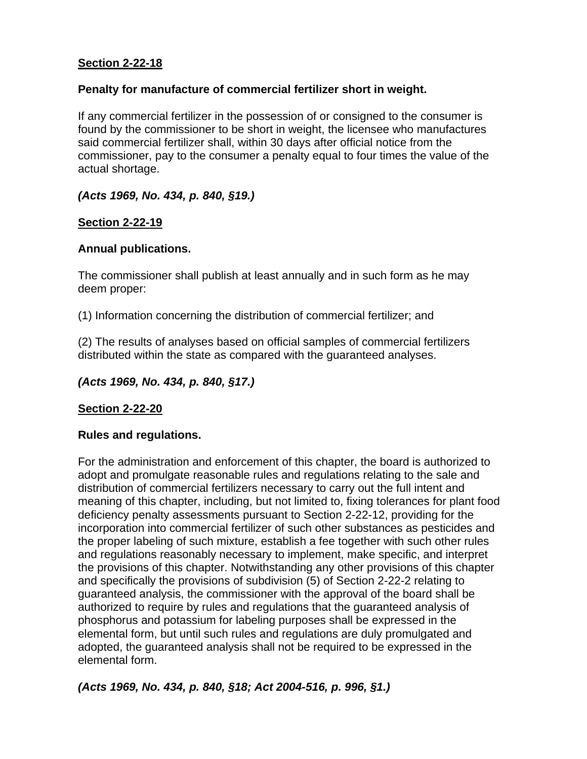# **Penalty for manufacture of commercial fertilizer short in weight.**

If any commercial fertilizer in the possession of or consigned to the consumer is found by the commissioner to be short in weight, the licensee who manufactures said commercial fertilizer shall, within 30 days after official notice from the commissioner, pay to the consumer a penalty equal to four times the value of the actual shortage.

# *(Acts 1969, No. 434, p. 840, §19.)*

# **Section 2-22-19**

# **Annual publications.**

The commissioner shall publish at least annually and in such form as he may deem proper:

(1) Information concerning the distribution of commercial fertilizer; and

(2) The results of analyses based on official samples of commercial fertilizers distributed within the state as compared with the guaranteed analyses.

# *(Acts 1969, No. 434, p. 840, §17.)*

# **Section 2-22-20**

# **Rules and regulations.**

For the administration and enforcement of this chapter, the board is authorized to adopt and promulgate reasonable rules and regulations relating to the sale and distribution of commercial fertilizers necessary to carry out the full intent and meaning of this chapter, including, but not limited to, fixing tolerances for plant food deficiency penalty assessments pursuant to Section 2-22-12, providing for the incorporation into commercial fertilizer of such other substances as pesticides and the proper labeling of such mixture, establish a fee together with such other rules and regulations reasonably necessary to implement, make specific, and interpret the provisions of this chapter. Notwithstanding any other provisions of this chapter and specifically the provisions of subdivision (5) of Section 2-22-2 relating to guaranteed analysis, the commissioner with the approval of the board shall be authorized to require by rules and regulations that the guaranteed analysis of phosphorus and potassium for labeling purposes shall be expressed in the elemental form, but until such rules and regulations are duly promulgated and adopted, the guaranteed analysis shall not be required to be expressed in the elemental form.

*(Acts 1969, No. 434, p. 840, §18; Act 2004-516, p. 996, §1.)*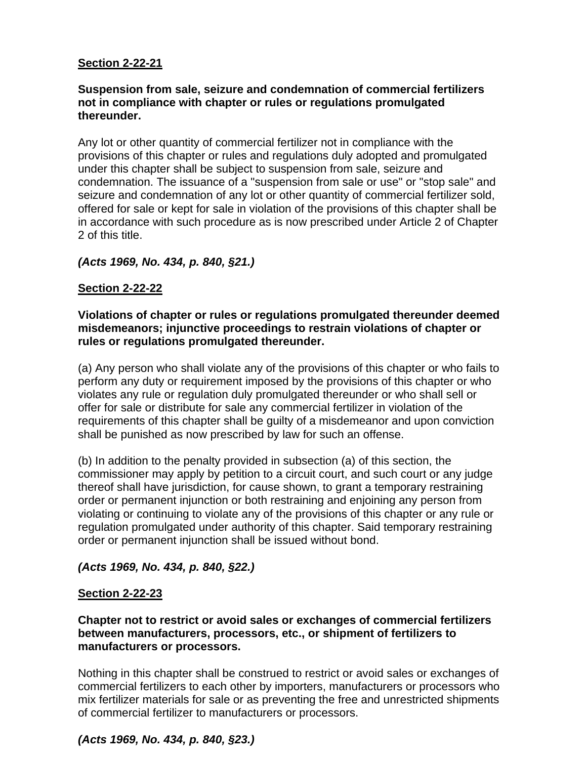# **Suspension from sale, seizure and condemnation of commercial fertilizers not in compliance with chapter or rules or regulations promulgated thereunder.**

Any lot or other quantity of commercial fertilizer not in compliance with the provisions of this chapter or rules and regulations duly adopted and promulgated under this chapter shall be subject to suspension from sale, seizure and condemnation. The issuance of a "suspension from sale or use" or "stop sale" and seizure and condemnation of any lot or other quantity of commercial fertilizer sold, offered for sale or kept for sale in violation of the provisions of this chapter shall be in accordance with such procedure as is now prescribed under Article 2 of Chapter 2 of this title.

# *(Acts 1969, No. 434, p. 840, §21.)*

# **Section 2-22-22**

# **Violations of chapter or rules or regulations promulgated thereunder deemed misdemeanors; injunctive proceedings to restrain violations of chapter or rules or regulations promulgated thereunder.**

(a) Any person who shall violate any of the provisions of this chapter or who fails to perform any duty or requirement imposed by the provisions of this chapter or who violates any rule or regulation duly promulgated thereunder or who shall sell or offer for sale or distribute for sale any commercial fertilizer in violation of the requirements of this chapter shall be guilty of a misdemeanor and upon conviction shall be punished as now prescribed by law for such an offense.

(b) In addition to the penalty provided in subsection (a) of this section, the commissioner may apply by petition to a circuit court, and such court or any judge thereof shall have jurisdiction, for cause shown, to grant a temporary restraining order or permanent injunction or both restraining and enjoining any person from violating or continuing to violate any of the provisions of this chapter or any rule or regulation promulgated under authority of this chapter. Said temporary restraining order or permanent injunction shall be issued without bond.

## *(Acts 1969, No. 434, p. 840, §22.)*

## **Section 2-22-23**

# **Chapter not to restrict or avoid sales or exchanges of commercial fertilizers between manufacturers, processors, etc., or shipment of fertilizers to manufacturers or processors.**

Nothing in this chapter shall be construed to restrict or avoid sales or exchanges of commercial fertilizers to each other by importers, manufacturers or processors who mix fertilizer materials for sale or as preventing the free and unrestricted shipments of commercial fertilizer to manufacturers or processors.

# *(Acts 1969, No. 434, p. 840, §23.)*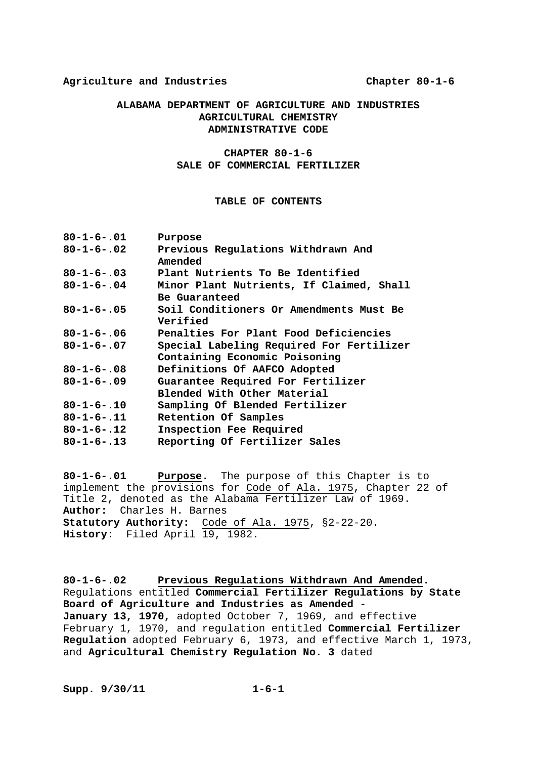#### **Agriculture and Industries Chapter 80-1-6**

### **ALABAMA DEPARTMENT OF AGRICULTURE AND INDUSTRIES AGRICULTURAL CHEMISTRY ADMINISTRATIVE CODE**

### **CHAPTER 80-1-6 SALE OF COMMERCIAL FERTILIZER**

#### **TABLE OF CONTENTS**

| $80 - 1 - 6 - 01$  | Purpose                                  |
|--------------------|------------------------------------------|
| $80 - 1 - 6 - .02$ | Previous Regulations Withdrawn And       |
|                    | Amended                                  |
| $80 - 1 - 6 - 03$  | Plant Nutrients To Be Identified         |
| $80 - 1 - 6 - .04$ | Minor Plant Nutrients, If Claimed, Shall |
|                    | Be Guaranteed                            |
| $80 - 1 - 6 - .05$ | Soil Conditioners Or Amendments Must Be  |
|                    | Verified                                 |
| $80 - 1 - 6 - 06$  | Penalties For Plant Food Deficiencies    |
| $80 - 1 - 6 - 07$  | Special Labeling Required For Fertilizer |
|                    | Containing Economic Poisoning            |
| $80 - 1 - 6 - .08$ | Definitions Of AAFCO Adopted             |
| $80 - 1 - 6 - 09$  | Guarantee Required For Fertilizer        |
|                    | Blended With Other Material              |
| $80 - 1 - 6 - 10$  | Sampling Of Blended Fertilizer           |
| $80 - 1 - 6 - .11$ | Retention Of Samples                     |
| $80 - 1 - 6 - 12$  | Inspection Fee Required                  |
| $80 - 1 - 6 - .13$ | Reporting Of Fertilizer Sales            |
|                    |                                          |

**80-1-6-.01 Purpose.** The purpose of this Chapter is to implement the provisions for Code of Ala. 1975, Chapter 22 of Title 2, denoted as the Alabama Fertilizer Law of 1969. **Author:** Charles H. Barnes **Statutory Authority:** Code of Ala. 1975, §2-22-20. **History:** Filed April 19, 1982.

**80-1-6-.02 Previous Regulations Withdrawn And Amended.**  Regulations entitled **Commercial Fertilizer Regulations by State Board of Agriculture and Industries as Amended** - **January 13, 1970,** adopted October 7, 1969, and effective February 1, 1970, and regulation entitled **Commercial Fertilizer Regulation** adopted February 6, 1973, and effective March 1, 1973, and **Agricultural Chemistry Regulation No. 3** dated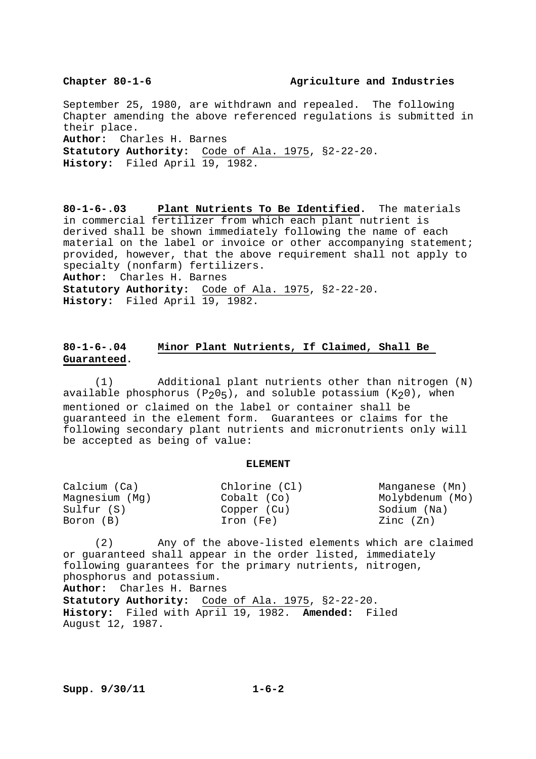#### **Chapter 80-1-6 Agriculture and Industries**

September 25, 1980, are withdrawn and repealed. The following Chapter amending the above referenced regulations is submitted in their place. **Author:** Charles H. Barnes **Statutory Authority:** Code of Ala. 1975, §2-22-20. **History:** Filed April 19, 1982.

**80-1-6-.03 Plant Nutrients To Be Identified.** The materials in commercial fertilizer from which each plant nutrient is derived shall be shown immediately following the name of each material on the label or invoice or other accompanying statement; provided, however, that the above requirement shall not apply to specialty (nonfarm) fertilizers. **Author:** Charles H. Barnes **Statutory Authority:** Code of Ala. 1975, §2-22-20. **History:** Filed April 19, 1982.

### **80-1-6-.04 Minor Plant Nutrients, If Claimed, Shall Be Guaranteed.**

 (1) Additional plant nutrients other than nitrogen (N) available phosphorus  $(P_205)$ , and soluble potassium  $(K_20)$ , when mentioned or claimed on the label or container shall be guaranteed in the element form. Guarantees or claims for the following secondary plant nutrients and micronutrients only will be accepted as being of value:

#### **ELEMENT**

| Calcium (Ca)   | Chlorine (Cl) | Manganese (Mn)  |
|----------------|---------------|-----------------|
| Magnesium (Mg) | Cobalt (Co)   | Molybdenum (Mo) |
| Sulfur (S)     | Copper (Cu)   | Sodium (Na)     |
| Boron (B)      | Iron (Fe)     | Zinc (Zn)       |

 (2) Any of the above-listed elements which are claimed or guaranteed shall appear in the order listed, immediately following guarantees for the primary nutrients, nitrogen, phosphorus and potassium.

**Author:** Charles H. Barnes

**Statutory Authority:** Code of Ala. 1975, §2-22-20. **History:** Filed with April 19, 1982. **Amended:** Filed August 12, 1987.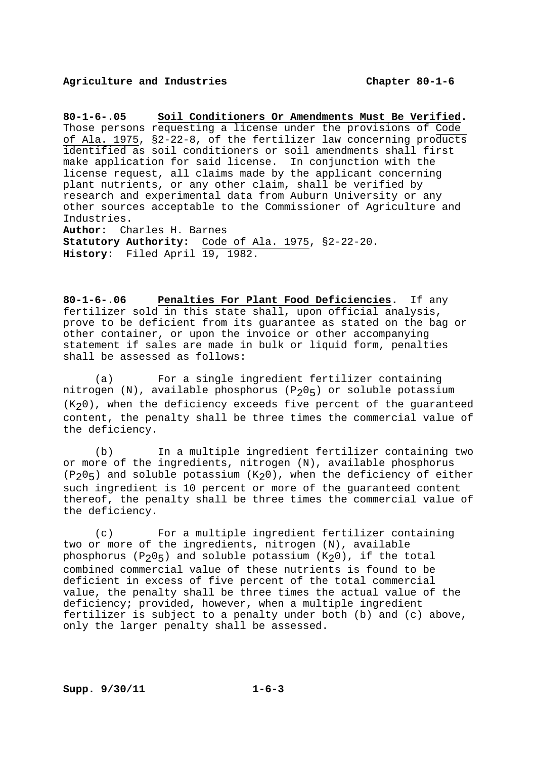#### **Agriculture and Industries Chapter 80-1-6**

**80-1-6-.05 Soil Conditioners Or Amendments Must Be Verified.** Those persons requesting a license under the provisions of Code of Ala. 1975, §2-22-8, of the fertilizer law concerning products identified as soil conditioners or soil amendments shall first make application for said license. In conjunction with the license request, all claims made by the applicant concerning plant nutrients, or any other claim, shall be verified by research and experimental data from Auburn University or any other sources acceptable to the Commissioner of Agriculture and Industries. **Author:** Charles H. Barnes **Statutory Authority:** Code of Ala. 1975, §2-22-20.

**History:** Filed April 19, 1982.

**80-1-6-.06 Penalties For Plant Food Deficiencies.** If any fertilizer sold in this state shall, upon official analysis, prove to be deficient from its guarantee as stated on the bag or other container, or upon the invoice or other accompanying statement if sales are made in bulk or liquid form, penalties shall be assessed as follows:

 (a) For a single ingredient fertilizer containing nitrogen (N), available phosphorus (P<sub>2</sub>0<sub>5</sub>) or soluble potassium  $(K<sub>2</sub>0)$ , when the deficiency exceeds five percent of the guaranteed content, the penalty shall be three times the commercial value of the deficiency.

 (b) In a multiple ingredient fertilizer containing two or more of the ingredients, nitrogen (N), available phosphorus  $(P_2O_5)$  and soluble potassium  $(K_2O)$ , when the deficiency of either such ingredient is 10 percent or more of the guaranteed content thereof, the penalty shall be three times the commercial value of the deficiency.

 (c) For a multiple ingredient fertilizer containing two or more of the ingredients, nitrogen (N), available phosphorus  $(P_205)$  and soluble potassium  $(K_20)$ , if the total combined commercial value of these nutrients is found to be deficient in excess of five percent of the total commercial value, the penalty shall be three times the actual value of the deficiency; provided, however, when a multiple ingredient fertilizer is subject to a penalty under both (b) and (c) above, only the larger penalty shall be assessed.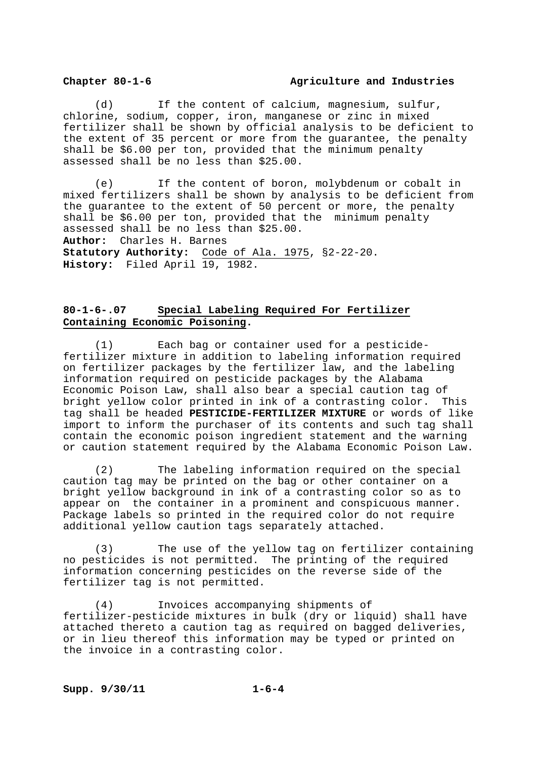#### **Chapter 80-1-6 Agriculture and Industries**

 (d) If the content of calcium, magnesium, sulfur, chlorine, sodium, copper, iron, manganese or zinc in mixed fertilizer shall be shown by official analysis to be deficient to the extent of 35 percent or more from the guarantee, the penalty shall be \$6.00 per ton, provided that the minimum penalty assessed shall be no less than \$25.00.

 (e) If the content of boron, molybdenum or cobalt in mixed fertilizers shall be shown by analysis to be deficient from the guarantee to the extent of 50 percent or more, the penalty shall be \$6.00 per ton, provided that the minimum penalty assessed shall be no less than \$25.00. **Author:** Charles H. Barnes **Statutory Authority:** Code of Ala. 1975, §2-22-20. **History:** Filed April 19, 1982.

### **80-1-6-.07 Special Labeling Required For Fertilizer Containing Economic Poisoning.**

 (1) Each bag or container used for a pesticidefertilizer mixture in addition to labeling information required on fertilizer packages by the fertilizer law, and the labeling information required on pesticide packages by the Alabama Economic Poison Law, shall also bear a special caution tag of bright yellow color printed in ink of a contrasting color. This tag shall be headed **PESTICIDE-FERTILIZER MIXTURE** or words of like import to inform the purchaser of its contents and such tag shall contain the economic poison ingredient statement and the warning or caution statement required by the Alabama Economic Poison Law.

 (2) The labeling information required on the special caution tag may be printed on the bag or other container on a bright yellow background in ink of a contrasting color so as to appear on the container in a prominent and conspicuous manner. Package labels so printed in the required color do not require additional yellow caution tags separately attached.

 (3) The use of the yellow tag on fertilizer containing no pesticides is not permitted. The printing of the required information concerning pesticides on the reverse side of the fertilizer tag is not permitted.

 (4) Invoices accompanying shipments of fertilizer-pesticide mixtures in bulk (dry or liquid) shall have attached thereto a caution tag as required on bagged deliveries, or in lieu thereof this information may be typed or printed on the invoice in a contrasting color.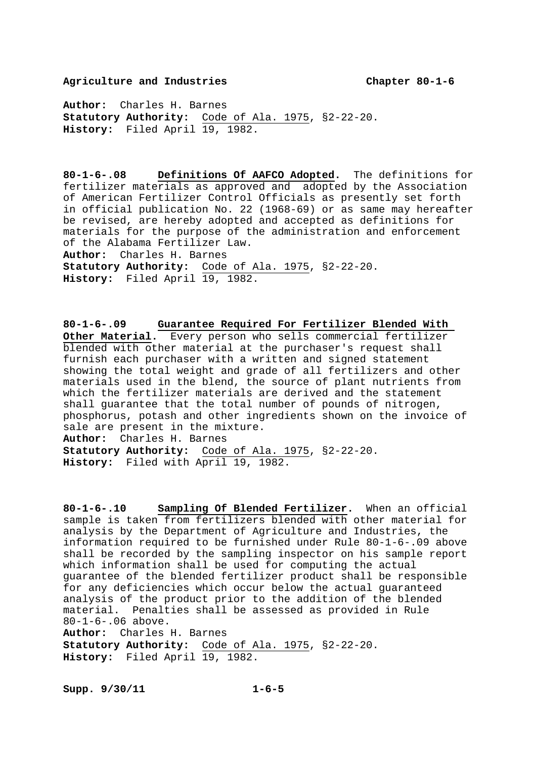#### **Agriculture and Industries Chapter 80-1-6**

**Author:** Charles H. Barnes **Statutory Authority:** Code of Ala. 1975, §2-22-20. History: Filed April 19, 1982.

**80-1-6-.08 Definitions Of AAFCO Adopted.** The definitions for fertilizer materials as approved and adopted by the Association of American Fertilizer Control Officials as presently set forth in official publication No. 22 (1968-69) or as same may hereafter be revised, are hereby adopted and accepted as definitions for materials for the purpose of the administration and enforcement of the Alabama Fertilizer Law. **Author:** Charles H. Barnes **Statutory Authority:** Code of Ala. 1975, §2-22-20. History: Filed April 19, 1982.

**80-1-6-.09 Guarantee Required For Fertilizer Blended With Other Material.** Every person who sells commercial fertilizer blended with other material at the purchaser's request shall furnish each purchaser with a written and signed statement showing the total weight and grade of all fertilizers and other materials used in the blend, the source of plant nutrients from which the fertilizer materials are derived and the statement shall guarantee that the total number of pounds of nitrogen, phosphorus, potash and other ingredients shown on the invoice of sale are present in the mixture. **Author:** Charles H. Barnes **Statutory Authority:** Code of Ala. 1975, §2-22-20. **History:** Filed with April 19, 1982.

**80-1-6-.10 Sampling Of Blended Fertilizer.** When an official sample is taken from fertilizers blended with other material for analysis by the Department of Agriculture and Industries, the information required to be furnished under Rule 80-1-6-.09 above shall be recorded by the sampling inspector on his sample report which information shall be used for computing the actual guarantee of the blended fertilizer product shall be responsible for any deficiencies which occur below the actual guaranteed analysis of the product prior to the addition of the blended material. Penalties shall be assessed as provided in Rule 80-1-6-.06 above. **Author:** Charles H. Barnes **Statutory Authority:** Code of Ala. 1975, §2-22-20.

**History:** Filed April 19, 1982.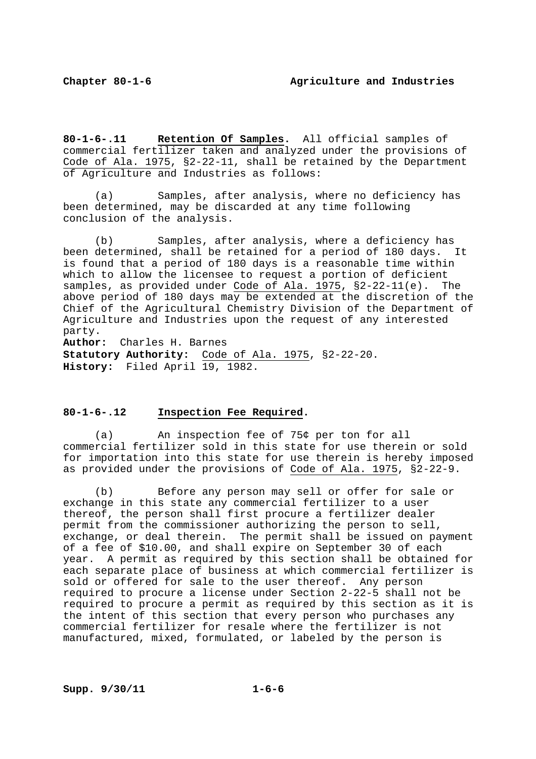**80-1-6-.11 Retention Of Samples.** All official samples of commercial fertilizer taken and analyzed under the provisions of Code of Ala. 1975, §2-22-11, shall be retained by the Department of Agriculture and Industries as follows:

 (a) Samples, after analysis, where no deficiency has been determined, may be discarded at any time following conclusion of the analysis.

 (b) Samples, after analysis, where a deficiency has been determined, shall be retained for a period of 180 days. It is found that a period of 180 days is a reasonable time within which to allow the licensee to request a portion of deficient samples, as provided under Code of Ala. 1975, §2-22-11(e). The above period of 180 days may be extended at the discretion of the Chief of the Agricultural Chemistry Division of the Department of Agriculture and Industries upon the request of any interested party.

**Author:** Charles H. Barnes **Statutory Authority:** Code of Ala. 1975, §2-22-20. **History:** Filed April 19, 1982.

#### **80-1-6-.12 Inspection Fee Required.**

 (a) An inspection fee of 75¢ per ton for all commercial fertilizer sold in this state for use therein or sold for importation into this state for use therein is hereby imposed as provided under the provisions of Code of Ala. 1975, §2-22-9.

 (b) Before any person may sell or offer for sale or exchange in this state any commercial fertilizer to a user thereof, the person shall first procure a fertilizer dealer permit from the commissioner authorizing the person to sell, exchange, or deal therein. The permit shall be issued on payment of a fee of \$10.00, and shall expire on September 30 of each year. A permit as required by this section shall be obtained for each separate place of business at which commercial fertilizer is sold or offered for sale to the user thereof. Any person required to procure a license under Section 2-22-5 shall not be required to procure a permit as required by this section as it is the intent of this section that every person who purchases any commercial fertilizer for resale where the fertilizer is not manufactured, mixed, formulated, or labeled by the person is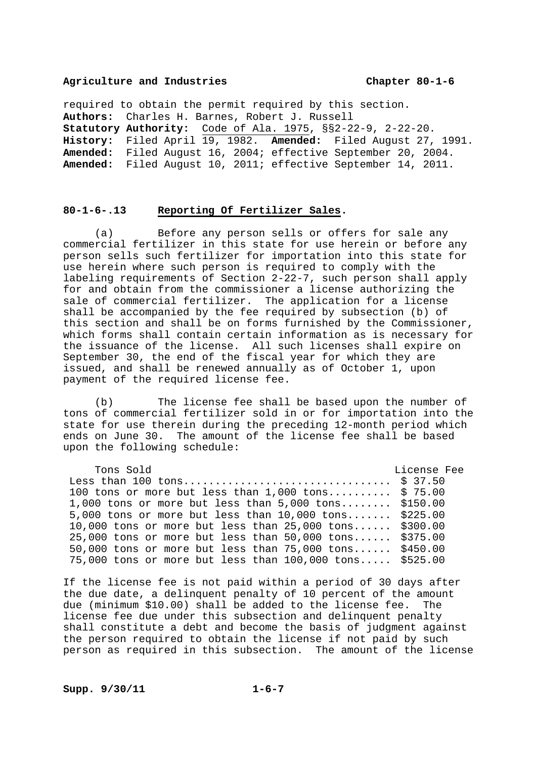#### **Agriculture and Industries Chapter 80-1-6**

required to obtain the permit required by this section. **Authors:** Charles H. Barnes, Robert J. Russell **Statutory Authority:** Code of Ala. 1975, §§2-22-9, 2-22-20. **History:** Filed April 19, 1982. **Amended:** Filed August 27, 1991. **Amended:** Filed August 16, 2004; effective September 20, 2004. **Amended:** Filed August 10, 2011; effective September 14, 2011.

#### **80-1-6-.13 Reporting Of Fertilizer Sales.**

 (a) Before any person sells or offers for sale any commercial fertilizer in this state for use herein or before any person sells such fertilizer for importation into this state for use herein where such person is required to comply with the labeling requirements of Section 2-22-7, such person shall apply for and obtain from the commissioner a license authorizing the sale of commercial fertilizer. The application for a license shall be accompanied by the fee required by subsection (b) of this section and shall be on forms furnished by the Commissioner, which forms shall contain certain information as is necessary for the issuance of the license. All such licenses shall expire on September 30, the end of the fiscal year for which they are issued, and shall be renewed annually as of October 1, upon payment of the required license fee.

 (b) The license fee shall be based upon the number of tons of commercial fertilizer sold in or for importation into the state for use therein during the preceding 12-month period which ends on June 30. The amount of the license fee shall be based upon the following schedule:

| Tons Sold                                                  | License Fee |
|------------------------------------------------------------|-------------|
|                                                            |             |
| 100 tons or more but less than $1,000$ tons \$ 75.00       |             |
| 1,000 tons or more but less than $5,000$ tons \$150.00     |             |
| 5,000 tons or more but less than $10,000$ tons \$225.00    |             |
| 10,000 tons or more but less than $25,000$ tons \$300.00   |             |
| $25,000$ tons or more but less than $50,000$ tons \$375.00 |             |
| 50,000 tons or more but less than $75,000$ tons \$450.00   |             |
| 75,000 tons or more but less than 100,000 tons \$525.00    |             |

If the license fee is not paid within a period of 30 days after the due date, a delinquent penalty of 10 percent of the amount due (minimum \$10.00) shall be added to the license fee. The license fee due under this subsection and delinquent penalty shall constitute a debt and become the basis of judgment against the person required to obtain the license if not paid by such person as required in this subsection. The amount of the license